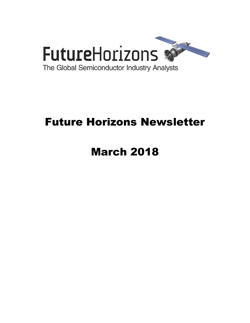

# Future Horizons Newsletter

# March 2018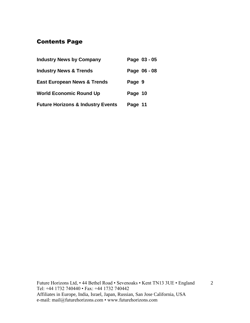# Contents Page

| <b>Industry News by Company</b>              |         | Page 03 - 05 |
|----------------------------------------------|---------|--------------|
| <b>Industry News &amp; Trends</b>            |         | Page 06 - 08 |
| <b>East European News &amp; Trends</b>       | Page 9  |              |
| <b>World Economic Round Up</b>               | Page 10 |              |
| <b>Future Horizons &amp; Industry Events</b> | Page 11 |              |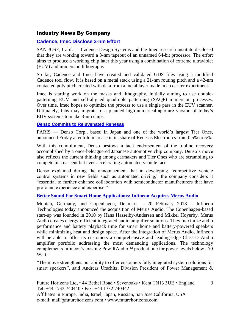#### Industry News By Company

#### **[Cadence, Imec Disclose 3-nm Effort](https://www.eetimes.com/document.asp?doc_id=1333016&_mc=RSS_EET_EDT)**

SAN JOSE, Calif. — Cadence Design Systems and the Imec research institute disclosed that they are working toward a 3-nm tapeout of an unnamed 64-bit processor. The effort aims to produce a working chip later this year using a combination of extreme ultraviolet (EUV) and immersion lithography.

So far, Cadence and Imec have created and validated GDS files using a modified Cadence tool flow. It is based on a metal stack using a 21-nm routing pitch and a 42-nm contacted poly pitch created with data from a metal layer made in an earlier experiment.

Imec is starting work on the masks and lithography, initially aiming to use doublepatterning EUV and self-aligned quadruple patterning (SAQP) immersion processes. Over time, Imec hopes to optimize the process to use a single pass in the EUV scanner. Ultimately, fabs may migrate to a planned high-numerical-aperture version of today's EUV systems to make 3-nm chips.

#### **[Denso Commits to Rejuvenated Renesas](https://www.eetimes.com/document.asp?doc_id=1333054&_mc=RSS_EET_EDT)**

PARIS — Denso Corp., based in Japan and one of the world's largest Tier Ones, announced Friday a tenfold increase in its share of Renesas Electronics from 0.5% to 5%.

With this commitment, Denso bestows a tacit endorsement of the topline recovery accomplished by a once-beleaguered Japanese automotive chip company. Denso's move also reflects the current thinking among carmakers and Tier Ones who are scrambling to compete in a nascent but ever-accelerating automated vehicle race.

Denso explained during the announcement that in developing "competitive vehicle control systems in new fields such as automated driving," the company considers it "essential to further enhance collaboration with semiconductor manufacturers that have profound experience and expertise."

#### **[Better Sound For Smart Home Applications: Infineon Acquires Merus Audio](https://www.infineon.com/cms/en/about-infineon/press/press-releases/2018/INFXX201802-029.html)**

Munich, Germany, and Copenhagen, Denmark – 20 February 2018 – Infineon Technologies today announced the acquisition of Merus Audio. The Copenhagen-based start-up was founded in 2010 by Hans Hasselby-Andersen and Mikkel Hoyerby. Merus Audio creates energy-efficient integrated audio amplifier solutions. They maximize audio performance and battery playback time for smart home and battery-powered speakers while minimizing heat and design space. After the integration of Merus Audio, Infineon will be able to offer its customers a comprehensive and leading-edge Class-D Audio amplifier portfolio addressing the most demanding applications. The technology complements Infineon's existing PowIRAudio<sup>TM</sup> product line for power levels below  $~10$ Watt.

"The move strengthens our ability to offer customers fully integrated system solutions for smart speakers", said Andreas Urschitz, Division President of Power Management &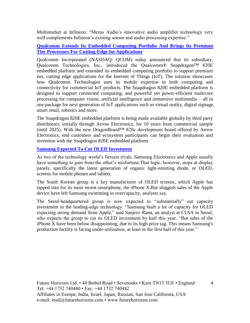Multimarket at Infineon. "Merus Audio's innovative audio amplifier technology very well complements Infineon's existing sensor and audio processing expertise."

#### **[Qualcomm Extends Its Embedded Computing Portfolio And Brings](https://www.qualcomm.com/news/releases/2018/02/21/qualcomm-extends-its-embedded-computing-portfolio-and-brings-its-premium?mkt_tok=eyJpIjoiWm1abU9XWTBOek14WlRSaSIsInQiOiJCUENpQ1M3ZkRkdFhZTndjS01cLzN1WTN2ZzNQS2xIN2d2SlNuTmxva3YyREpqZmdOd3NtWTdtRkd1RmdQcDkyR) Its Premium [Tier Processors For Cutting-Edge Iot Applications](https://www.qualcomm.com/news/releases/2018/02/21/qualcomm-extends-its-embedded-computing-portfolio-and-brings-its-premium?mkt_tok=eyJpIjoiWm1abU9XWTBOek14WlRSaSIsInQiOiJCUENpQ1M3ZkRkdFhZTndjS01cLzN1WTN2ZzNQS2xIN2d2SlNuTmxva3YyREpqZmdOd3NtWTdtRkd1RmdQcDkyR)**

Qualcomm Incorporated (NASDAQ: QCOM) today announced that its subsidiary, Qualcomm Technologies, Inc., introduced the Qualcomm® Snapdragon™ 820E embedded platform and extended its embedded computing portfolio to support premium tier, cutting edge applications for the Internet of Things (IoT). The solution showcases how Qualcomm Technologies uses its mobile expertise in both computing and connectivity for commercial IoT products. The Snapdragon 820E embedded platform is designed to support connected computing, and powerful yet power-efficient multicore processing for computer vision, artificial intelligence and immersive multimedia – all in one package for next generation of IoT applications such as virtual reality, digital signage, smart retail, robotics and more.

The Snapdragon 820E embedded platform is being made available globally by third party distributors, initially through Arrow Electronics, for 10 years from commercial sample (until 2025). With the new DragonBoard™ 820c development board offered by Arrow Electronics, end customers and ecosystem participants can begin their evaluation and invention with the Snapdragon 820E embedded platform.

#### **[Samsung Expected To Cut OLED Investment](https://www.ft.com/content/b0ff4c7a-1dc2-11e8-aaca-4574d7dabfb6?desktop=true&segmentId=7c8f09b9-9b61-4fbb-9430-9208a9e233c8#myft:notification:daily-email:content)**

As two of the technology world's fiercest rivals, Samsung Electronics and Apple usually have something to gain from the other's misfortune.That logic, however, stops at display panels; specifically the latest generation of organic light-emitting diode, or OLED, screens for mobile phones and tablets.

The South Korean group is a key manufacturer of OLED screens, which Apple has tapped into for its most recent smartphone, the iPhone X.But sluggish sales of the Apple device have left Samsung swimming in overcapacity, analysts say.

The Seoul-headquartered group is now expected to "substantially" cut capacity investment in the leading-edge technology. "Samsung built a lot of capacity for OLED expecting strong demand from Apple," said Sanjeev Rana, an analyst at CLSA in Seoul, who expects the group to cut its OLED investment by half this year. "But sales of the iPhone X have been below disappointing, due to its high price tag. This means Samsung's production facility is facing under-utilisation, at least in the first half of this year."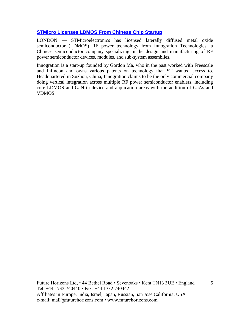#### **[STMicro Licenses LDMOS From Chinese Chip Startup](https://www.eetimes.com/document.asp?doc_id=1332977&_mc=RSS_EET_EDT)**

LONDON — STMicroelectronics has licensed laterally diffused metal oxide semiconductor (LDMOS) RF power technology from Innogration Technologies, a Chinese semiconductor company specializing in the design and manufacturing of RF power semiconductor devices, modules, and sub-system assemblies.

Innogration is a start-up founded by Gordon Ma, who in the past worked with Freescale and Infineon and owns various patents on technology that ST wanted access to. Headquartered in Suzhou, China, Innogration claims to be the only commercial company doing vertical integration across multiple RF power semiconductor enablers, including core LDMOS and GaN in device and application areas with the addition of GaAs and VDMOS.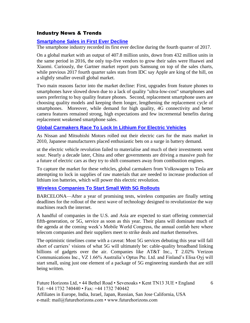#### Industry News & Trends

#### **[Smartphone Sales in First Ever Decline](https://www.eetindia.co.in/news/article/18022607-smartphone-sales-in-first-ever-decline?utm_source=EETI%20Article%20Alert&utm_medium=Email&utm_campaign=2018-02-27)**

The smartphone industry recorded its first ever decline during the fourth quarter of 2017.

On a global market with an output of 407.8 million units, down from 432 million units in the same period in 2016, the only top-five vendors to grow their sales were Huawei and Xiaomi. Curiously, the Gartner market report puts Samsung on top of the sales charts, while previous 2017 fourth quarter sales stats from IDC say Apple are king of the hill, on a slightly smaller overall global market.

Two main reasons factor into the market decline: First, upgrades from feature phones to smartphones have slowed down due to a lack of quality "ultra-low-cost" smartphones and users preferring to buy quality feature phones. Second, replacement smartphone users are choosing quality models and keeping them longer, lengthening the replacement cycle of smartphones. Moreover, while demand for high quality, 4G connectivity and better camera features remained strong, high expectations and few incremental benefits during replacement weakened smartphone sales.

#### **[Global Carmakers Race To Lock In Lithium For Electric Vehicles](https://www.ft.com/content/e9b83834-155b-11e8-9376-4a6390addb44?desktop=true&segmentId=7c8f09b9-9b61-4fbb-9430-9208a9e233c8#myft:notification:daily-email:content)**

As Nissan and Mitsubishi Motors rolled out their electric cars for the mass market in 2010, Japanese manufacturers placed enthusiastic bets on a surge in battery demand.

ut the electric vehicle revolution failed to materialise and much of their investments went sour. Nearly a decade later, China and other governments are driving a massive push for a future of electric cars as they try to shift consumers away from combustion engines.

To capture the market for these vehicles, global carmakers from Volkswagen to Tesla are attempting to lock in supplies of raw materials that are needed to increase production of lithium ion batteries, which will power this electric revolution.

#### **[Wireless Companies To Start Small With 5G Rollouts](https://www.wsj.com/articles/wireless-companies-to-start-small-with-5g-rollouts-1519480800?mod=djemTECH_h&tesla=y)**

BARCELONA—After a year of promising tests, wireless companies are finally setting deadlines for the rollout of the next wave of technology designed to revolutionize the way machines reach the internet.

A handful of companies in the U.S. and Asia are expected to start offering commercial fifth-generation, or 5G, service as soon as this year. Their plans will dominate much of the agenda at the coming week's Mobile World Congress, the annual confab here where telecom companies and their suppliers meet to strike deals and market themselves.

The optimistic timelines come with a caveat: Most 5G services debuting this year will fall short of carriers' visions of what 5G will ultimately be: cable-quality broadband linking billions of gadgets over the air. Companies like AT&T Inc., T 2.02% Verizon Communications Inc., VZ 1.66% Australia's Optus Pte. Ltd. and Finland's Elisa Oyj will start small, using just one element of a package of 5G engineering standards that are still being written.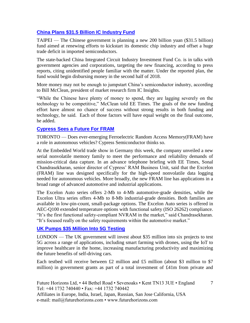#### **[China Plans \\$31.5 Billion IC Industry Fund](https://www.eetimes.com/document.asp?doc_id=1333027&_mc=RSS_EET_EDT)**

TAIPEI — The Chinese government is planning a new 200 billion yuan (\$31.5 billion) fund aimed at renewing efforts to kickstart its domestic chip industry and offset a huge trade deficit in imported semiconductors.

The state-backed China Integrated Circuit Industry Investment Fund Co. is in talks with government agencies and corporations, targeting the new financing, according to press reports, citing unidentified people familiar with the matter. Under the reported plan, the fund would begin disbursing money in the second half of 2018.

More money may not be enough to jumpstart China's semiconductor industry, according to Bill McClean, president of market research firm IC Insights.

"While the Chinese have plenty of money to spend, they are lagging severely on the technology to be competitive," McClean told EE Times. The goals of the new funding effort have almost no chance of success without strong results in both funding and technology, he said. Each of those factors will have equal weight on the final outcome, he added.

#### **[Cypress Sees a Future For FRAM](https://www.eetimes.com/document.asp?doc_id=1333019&)**

TORONTO — Does ever-emerging Ferroelectric Random Access Memory(FRAM) have a role in autonomous vehicles? Cypress Semiconductor thinks so.

At the Embedded World trade show in Germany this week, the company unveiled a new serial nonvolatile memory family to meet the performance and reliability demands of mission-critical data capture. In an advance telephone briefing with EE Times, Sonal Chandrasekharan, senior director of Cypress' RAM Business Unit, said that the Excelon (FRAM) line was designed specifically for the high-speed nonvolatile data logging needed for autonomous vehicles. More broadly, the new FRAM line has applications in a broad range of advanced automotive and industrial applications.

The Excelon Auto series offers 2-Mb to 4-Mb automotive-grade densities, while the Excelon Ultra series offers 4-Mb to 8-Mb industrial-grade densities. Both families are available in low-pin-count, small-package options. The Excelon Auto series is offered in AEC-Q100 extended temperature options with functional safety (ISO 26262) compliance. "It's the first functional safety-compliant NVRAM in the market," said Chandrasekharan. "It's focused really on the safety requirements within the automotive market."

#### **[UK Pumps \\$35 Million Into 5G Testing](https://www.eetimes.com/document.asp?doc_id=1333066&_mc=RSS_EET_EDT)**

LONDON — The UK government will invest about \$35 million into six projects to test 5G across a range of applications, including smart farming with drones, using the IoT to improve healthcare in the home, increasing manufacturing productivity and maximizing the future benefits of self-driving cars.

Each testbed will receive between £2 million and £5 million (about \$3 million to \$7 million) in government grants as part of a total investment of £41m from private and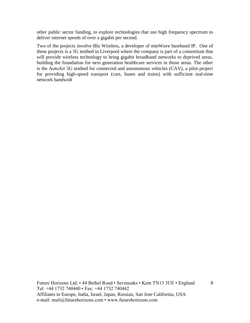other public sector funding, to explore technologies that use high frequency spectrum to deliver internet speeds of over a gigabit per second.

Two of the projects involve Blu Wireless, a developer of mmWave baseband IP. One of these projects is a 5G testbed in Liverpool where the company is part of a consortium that will provide wireless technology to bring gigabit broadband networks to deprived areas, building the foundation for next generation healthcare services in those areas. The other is the AutoAir 5G testbed for connected and autonomous vehicles (CAV), a pilot project for providing high-speed transport (cars, buses and trains) with sufficient real-time network bandwidt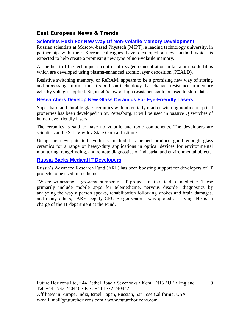#### East European News & Trends

#### **[Scientists Push For New Way Of Non-Volatile Memory Development](http://marchmontnews.com/Technology-Innovation/Central-regions/21803-Scientists-push-for-new-way-non-volatile-memory-development.html)**

Russian scientists at Moscow-based Phystech (MIPT), a leading technology university, in partnership with their Korean colleagues have developed a new method which is expected to help create a promising new type of non-volatile memory.

At the heart of the technique is control of oxygen concentration in tantalum oxide films which are developed using plasma-enhanced atomic layer deposition (PEALD).

Resistive switching memory, or ReRAM, appears to be a promising new way of storing and processing information. It's built on technology that changes resistance in memory cells by voltages applied. So, a cell's low or high resistance could be used to store data.

#### **[Researchers Develop New Glass Ceramics For Eye-Friendly Lasers](http://marchmontnews.com/Materials-Extraction/North-West/21811-Researchers-develop-new-glass-ceramics-for-eye-friendly-lasers.html)**

Super-hard and durable glass ceramics with potentially market-winning nonlinear optical properties has been developed in St. Petersburg. It will be used in passive Q switches of human eye friendly lasers.

The ceramics is said to have no volatile and toxic components. The developers are scientists at the S. I. Vavilov State Optical Institute.

Using the new patented synthesis method has helped produce good enough glass ceramics for a range of heavy-duty applications in optical devices for environmental monitoring, rangefinding, and remote diagnostics of industrial and environmental objects.

#### **[Russia Backs Medical IT Developers](http://marchmontnews.com/Technology-Innovation/Central-regions/21904-Russia-backs-medical-IT-developers-.html)**

Russia's Advanced Research Fund (ARF) has been boosting support for developers of IT projects to be used in medicine.

"We're witnessing a growing number of IT projects in the field of medicine. These primarily include mobile apps for telemedicine, nervous disorder diagnostics by analyzing the way a person speaks, rehabilitation following strokes and brain damages, and many others," ARF Deputy CEO Sergei Garbuk was quoted as saying. He is in charge of the IT department at the Fund.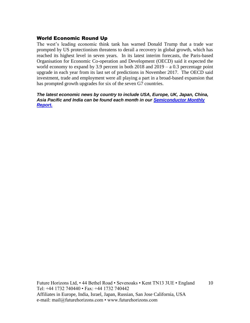#### World Economic Round Up

The west's leading economic think tank has warned Donald Trump that a trade war prompted by US protectionism threatens to derail a recovery in global growth, which has reached its highest level in seven years. In its latest interim forecasts, the Paris-based Organisation for Economic Co-operation and Development (OECD) said it expected the world economy to expand by 3.9 percent in both 2018 and 2019 – a 0.3 percentage point upgrade in each year from its last set of predictions in November 2017. The OECD said investment, trade and employment were all playing a part in a broad-based expansion that has prompted growth upgrades for six of the seven G7 countries.

*The latest economic news by country to include USA, Europe, UK, Japan, China, Asia Pacific and India can be found each month in our [Semiconductor Monthly](http://www.futurehorizons.com/page/18/Global-Semiconductor-Report)  [Report.](http://www.futurehorizons.com/page/18/Global-Semiconductor-Report)*